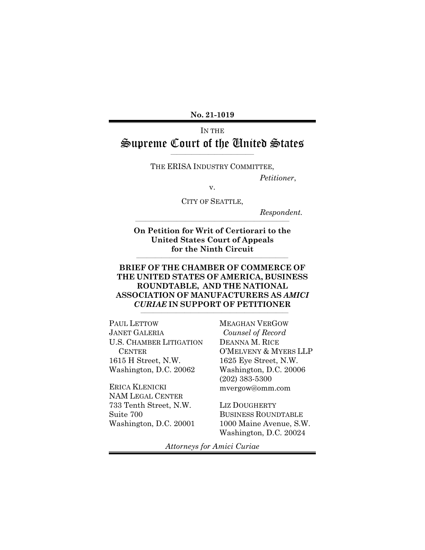**No. 21-1019**

## IN THE Supreme Court of the United States

 $\frac{1}{2}$  , and the set of the set of the set of the set of the set of the set of the set of the set of the set of the set of the set of the set of the set of the set of the set of the set of the set of the set of the set THE ERISA INDUSTRY COMMITTEE,

*Petitioner*,

v.

CITY OF SEATTLE,

\_\_\_\_\_\_\_\_\_\_\_\_\_\_\_\_\_\_\_\_\_\_\_\_\_\_\_\_\_\_\_\_\_\_\_\_\_\_\_\_\_\_\_\_\_\_\_\_\_\_\_\_\_\_\_\_\_\_\_\_\_\_\_\_\_\_\_\_\_\_\_\_\_\_

*Respondent.*

**On Petition for Writ of Certiorari to the United States Court of Appeals for the Ninth Circuit**

**\_\_\_\_\_\_\_\_\_\_\_\_\_\_\_\_\_\_\_\_\_\_\_\_\_\_\_\_\_\_\_\_\_\_\_\_\_\_\_\_\_\_\_\_\_\_\_\_\_\_\_\_\_\_\_\_\_\_\_\_\_\_\_\_\_\_\_\_\_\_\_\_\_**

### **BRIEF OF THE CHAMBER OF COMMERCE OF THE UNITED STATES OF AMERICA, BUSINESS ROUNDTABLE, AND THE NATIONAL ASSOCIATION OF MANUFACTURERS AS** *AMICI CURIAE* **IN SUPPORT OF PETITIONER**

\_\_\_\_\_\_\_\_\_\_\_\_\_\_\_\_\_\_\_\_\_\_\_\_\_\_\_\_\_\_\_\_\_\_\_\_\_\_\_\_\_\_\_\_\_\_\_\_\_\_\_\_\_\_\_\_\_\_\_\_\_\_\_\_\_\_\_\_\_\_\_

PAUL LETTOW JANET GALERIA U.S. CHAMBER LITIGATION **CENTER** 1615 H Street, N.W. Washington, D.C. 20062

ERICA KLENICKI NAM LEGAL CENTER 733 Tenth Street, N.W. Suite 700 Washington, D.C. 20001 MEAGHAN VERGOW *Counsel of Record* DEANNA M. RICE O'MELVENY & MYERS LLP 1625 Eye Street, N.W. Washington, D.C. 20006 (202) 383-5300 mvergow@omm.com

LIZ DOUGHERTY BUSINESS ROUNDTABLE 1000 Maine Avenue, S.W. Washington, D.C. 20024

*Attorneys for Amici Curiae*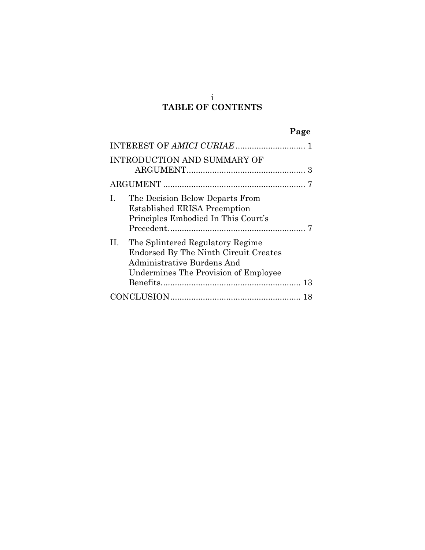## i **TABLE OF CONTENTS**

|                                                                                                                                                       | Page |
|-------------------------------------------------------------------------------------------------------------------------------------------------------|------|
|                                                                                                                                                       |      |
| <b>INTRODUCTION AND SUMMARY OF</b>                                                                                                                    |      |
|                                                                                                                                                       |      |
| $\mathbf{I}$ .<br>The Decision Below Departs From<br><b>Established ERISA Preemption</b><br>Principles Embodied In This Court's                       |      |
| The Splintered Regulatory Regime<br>П.<br>Endorsed By The Ninth Circuit Creates<br>Administrative Burdens And<br>Undermines The Provision of Employee |      |
|                                                                                                                                                       |      |
|                                                                                                                                                       | 18   |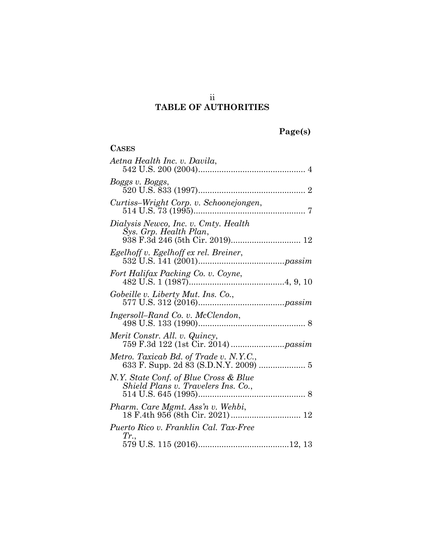# **TABLE OF AUTHORITIES**

| 'age(s) |  |
|---------|--|
|         |  |

| <b>CASES</b>                                                                    |  |
|---------------------------------------------------------------------------------|--|
| Aetna Health Inc. v. Davila,                                                    |  |
| Boggs v. Boggs,                                                                 |  |
| Curtiss-Wright Corp. v. Schoonejongen,                                          |  |
| Dialysis Newco, Inc. v. Cmty. Health<br>Sys. Grp. Health Plan,                  |  |
|                                                                                 |  |
| Fort Halifax Packing Co. v. Coyne,                                              |  |
|                                                                                 |  |
| Ingersoll-Rand Co. v. McClendon,                                                |  |
| Merit Constr. All. v. Quincy,                                                   |  |
| Metro. Taxicab Bd. of Trade v. N.Y.C.,<br>633 F. Supp. 2d 83 (S.D.N.Y. 2009)  5 |  |
| N.Y. State Conf. of Blue Cross & Blue<br>Shield Plans v. Travelers Ins. Co.,    |  |
|                                                                                 |  |
| Puerto Rico v. Franklin Cal. Tax-Free                                           |  |
| Tr.,                                                                            |  |

ii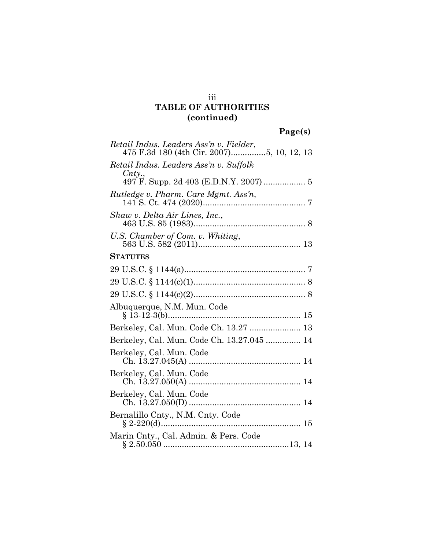## iii **TABLE OF AUTHORITIES (continued)**

| Retail Indus. Leaders Ass'n v. Fielder,<br>475 F.3d 180 (4th Cir. 2007)5, 10, 12, 13 |
|--------------------------------------------------------------------------------------|
| Retail Indus. Leaders Ass'n v. Suffolk<br>$\mathit{Cnty.},$                          |
|                                                                                      |
| Rutledge v. Pharm. Care Mgmt. Ass'n,                                                 |
| Shaw v. Delta Air Lines, Inc.,                                                       |
| U.S. Chamber of Com. v. Whiting,                                                     |
| <b>STATUTES</b>                                                                      |
|                                                                                      |
|                                                                                      |
|                                                                                      |
| Albuquerque, N.M. Mun. Code                                                          |
| Berkeley, Cal. Mun. Code Ch. 13.27  13                                               |
| Berkeley, Cal. Mun. Code Ch. 13.27.045  14                                           |
| Berkeley, Cal. Mun. Code                                                             |
| Berkeley, Cal. Mun. Code                                                             |
| Berkeley, Cal. Mun. Code                                                             |
| Bernalillo Cnty., N.M. Cnty. Code                                                    |
| Marin Cnty., Cal. Admin. & Pers. Code                                                |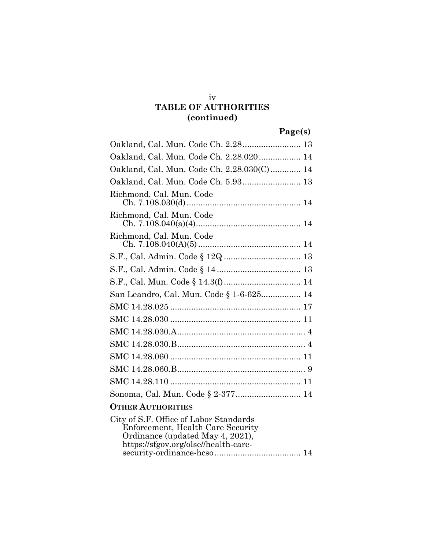## **TABLE OF AUTHORITIES (continued)**

# **Page(s)**

| Oakland, Cal. Mun. Code Ch. 2.28 13        |
|--------------------------------------------|
| Oakland, Cal. Mun. Code Ch. 2.28.020 14    |
| Oakland, Cal. Mun. Code Ch. 2.28.030(C) 14 |
| Oakland, Cal. Mun. Code Ch. 5.93 13        |
| Richmond, Cal. Mun. Code                   |
| Richmond, Cal. Mun. Code                   |
| Richmond, Cal. Mun. Code                   |
|                                            |
|                                            |
|                                            |
| San Leandro, Cal. Mun. Code § 1-6-625 14   |
|                                            |
|                                            |
|                                            |
|                                            |
|                                            |
|                                            |
|                                            |
| Sonoma, Cal. Mun. Code § 2-377 14          |
| <b>OTHER AUTHORITIES</b>                   |

| City of S.F. Office of Labor Standards |  |
|----------------------------------------|--|
| Enforcement, Health Care Security      |  |
| Ordinance (updated May 4, 2021),       |  |
| https://sfgov.org/olse//health-care-   |  |
|                                        |  |

iv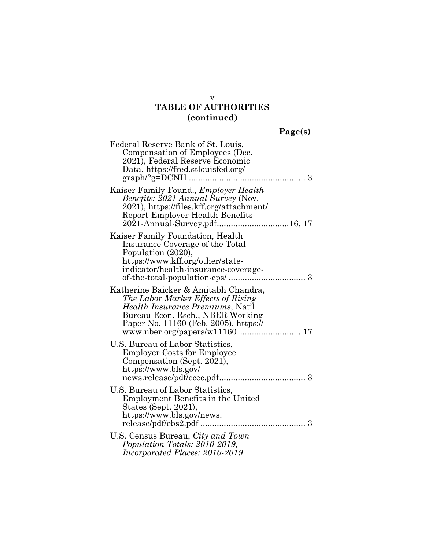## **TABLE OF AUTHORITIES (continued)**

| aget | S. |
|------|----|
|      |    |

| Federal Reserve Bank of St. Louis,<br>Compensation of Employees (Dec.<br>2021), Federal Reserve Economic<br>Data, https://fred.stlouisfed.org/                                                     | 3 |
|----------------------------------------------------------------------------------------------------------------------------------------------------------------------------------------------------|---|
| Kaiser Family Found., Employer Health<br><i>Benefits: 2021 Annual Survey (Nov.</i><br>2021), https://files.kff.org/attachment/<br>Report-Employer-Health-Benefits-<br>2021-Annual-Survey.pdf16, 17 |   |
| Kaiser Family Foundation, Health<br>Insurance Coverage of the Total<br>Population (2020),<br>https://www.kff.org/other/state-<br>indicator/health-insurance-coverage-                              |   |
| Katherine Baicker & Amitabh Chandra,<br>The Labor Market Effects of Rising<br><i>Health Insurance Premiums, Nat'l</i><br>Bureau Econ. Rsch., NBER Working<br>Paper No. 11160 (Feb. 2005), https:// |   |
| U.S. Bureau of Labor Statistics,<br><b>Employer Costs for Employee</b><br>Compensation (Sept. 2021),<br>https://www.bls.gov/                                                                       |   |
| U.S. Bureau of Labor Statistics,<br>Employment Benefits in the United<br>States (Sept. 2021),<br>https://www.bls.gov/news.                                                                         |   |
| U.S. Census Bureau, City and Town<br>Population Totals: 2010-2019,<br>Incorporated Places: 2010-2019                                                                                               |   |

v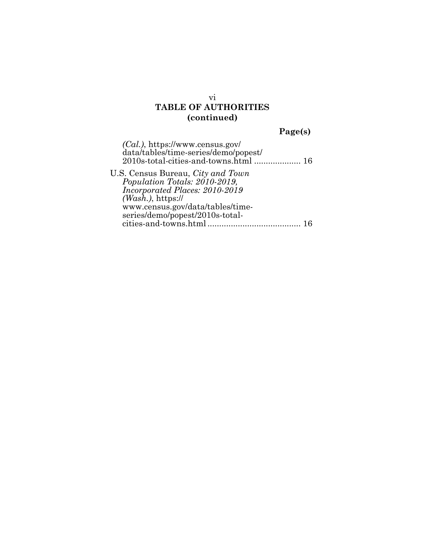## **TABLE OF AUTHORITIES (continued)**

# **Page(s)**

| $(Cal.)$ , https://www.census.gov/<br>data/tables/time-series/demo/popest/ |  |
|----------------------------------------------------------------------------|--|
| U.S. Census Bureau, <i>City and Town</i>                                   |  |
| Population Totals: 2010-2019,                                              |  |
| Incorporated Places: 2010-2019                                             |  |
| $(Wash.)$ , https://                                                       |  |
| www.census.gov/data/tables/time-                                           |  |
| series/demo/popest/2010s-total-                                            |  |
| cities-and-towns.html                                                      |  |
|                                                                            |  |

vi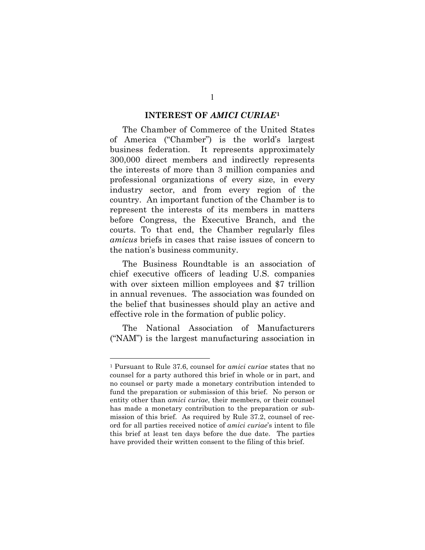#### **INTEREST OF** *AMICI CURIAE***[1](#page-7-1)**

<span id="page-7-0"></span>The Chamber of Commerce of the United States of America ("Chamber") is the world's largest business federation. It represents approximately 300,000 direct members and indirectly represents the interests of more than 3 million companies and professional organizations of every size, in every industry sector, and from every region of the country. An important function of the Chamber is to represent the interests of its members in matters before Congress, the Executive Branch, and the courts. To that end, the Chamber regularly files *amicus* briefs in cases that raise issues of concern to the nation's business community.

The Business Roundtable is an association of chief executive officers of leading U.S. companies with over sixteen million employees and \$7 trillion in annual revenues. The association was founded on the belief that businesses should play an active and effective role in the formation of public policy.

The National Association of Manufacturers ("NAM") is the largest manufacturing association in

<span id="page-7-1"></span><sup>1</sup> Pursuant to Rule 37.6, counsel for *amici curiae* states that no counsel for a party authored this brief in whole or in part, and no counsel or party made a monetary contribution intended to fund the preparation or submission of this brief. No person or entity other than *amici curiae*, their members, or their counsel has made a monetary contribution to the preparation or submission of this brief. As required by Rule 37.2, counsel of record for all parties received notice of *amici curiae*'s intent to file this brief at least ten days before the due date. The parties have provided their written consent to the filing of this brief.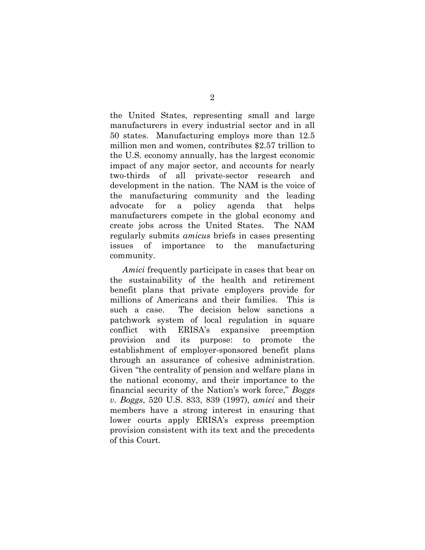the United States, representing small and large manufacturers in every industrial sector and in all 50 states. Manufacturing employs more than 12.5 million men and women, contributes \$2.57 trillion to the U.S. economy annually, has the largest economic impact of any major sector, and accounts for nearly two-thirds of all private-sector research and development in the nation. The NAM is the voice of the manufacturing community and the leading advocate for a policy agenda that helps manufacturers compete in the global economy and create jobs across the United States. The NAM regularly submits *amicus* briefs in cases presenting issues of importance to the manufacturing community.

*Amici* frequently participate in cases that bear on the sustainability of the health and retirement benefit plans that private employers provide for millions of Americans and their families. This is such a case. The decision below sanctions a patchwork system of local regulation in square conflict with ERISA's expansive preemption provision and its purpose: to promote the establishment of employer-sponsored benefit plans through an assurance of cohesive administration. Given "the centrality of pension and welfare plans in the national economy, and their importance to the financial security of the Nation's work force," *Boggs v. Boggs*, 520 U.S. 833, 839 (1997), *amici* and their members have a strong interest in ensuring that lower courts apply ERISA's express preemption provision consistent with its text and the precedents of this Court.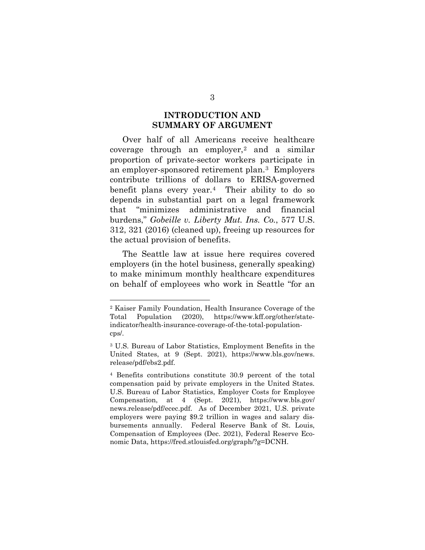### **INTRODUCTION AND SUMMARY OF ARGUMENT**

<span id="page-9-0"></span>Over half of all Americans receive healthcare coverage through an employer,<sup>[2](#page-9-1)</sup> and a similar proportion of private-sector workers participate in an employer-sponsored retirement plan.[3](#page-9-2) Employers contribute trillions of dollars to ERISA-governed benefit plans every year.[4](#page-9-3) Their ability to do so depends in substantial part on a legal framework that "minimizes administrative and financial burdens," *Gobeille v. Liberty Mut. Ins. Co.*, 577 U.S. 312, 321 (2016) (cleaned up), freeing up resources for the actual provision of benefits.

The Seattle law at issue here requires covered employers (in the hotel business, generally speaking) to make minimum monthly healthcare expenditures on behalf of employees who work in Seattle "for an

<span id="page-9-1"></span><sup>2</sup> Kaiser Family Foundation, Health Insurance Coverage of the Total Population (2020), https://www.kff.org/other/stateindicator/health-insurance-coverage-of-the-total-populationcps/.

<span id="page-9-2"></span><sup>3</sup> U.S. Bureau of Labor Statistics, Employment Benefits in the United States, at 9 (Sept. 2021), https://www.bls.gov/news. release/pdf/ebs2.pdf.

<span id="page-9-3"></span><sup>4</sup> Benefits contributions constitute 30.9 percent of the total compensation paid by private employers in the United States. U.S. Bureau of Labor Statistics, Employer Costs for Employee Compensation, at 4 (Sept. 2021), https://www.bls.gov/ news.release/pdf/ecec.pdf. As of December 2021, U.S. private employers were paying \$9.2 trillion in wages and salary disbursements annually. Federal Reserve Bank of St. Louis, Compensation of Employees (Dec. 2021), Federal Reserve Economic Data, https://fred.stlouisfed.org/graph/?g=DCNH.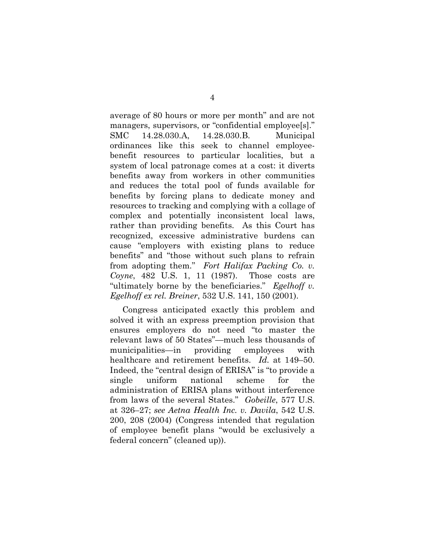average of 80 hours or more per month" and are not managers, supervisors, or "confidential employee[s]." SMC 14.28.030.A, 14.28.030.B. Municipal ordinances like this seek to channel employeebenefit resources to particular localities, but a system of local patronage comes at a cost: it diverts benefits away from workers in other communities and reduces the total pool of funds available for benefits by forcing plans to dedicate money and resources to tracking and complying with a collage of complex and potentially inconsistent local laws, rather than providing benefits. As this Court has recognized, excessive administrative burdens can cause "employers with existing plans to reduce benefits" and "those without such plans to refrain from adopting them." *Fort Halifax Packing Co. v. Coyne*, 482 U.S. 1, 11 (1987). Those costs are "ultimately borne by the beneficiaries." *Egelhoff v. Egelhoff ex rel. Breiner*, 532 U.S. 141, 150 (2001).

Congress anticipated exactly this problem and solved it with an express preemption provision that ensures employers do not need "to master the relevant laws of 50 States"—much less thousands of municipalities—in providing employees with healthcare and retirement benefits. *Id.* at 149–50. Indeed, the "central design of ERISA" is "to provide a single uniform national scheme for the administration of ERISA plans without interference from laws of the several States." *Gobeille*, 577 U.S. at 326–27; *see Aetna Health Inc. v. Davila*, 542 U.S. 200, 208 (2004) (Congress intended that regulation of employee benefit plans "would be exclusively a federal concern" (cleaned up)).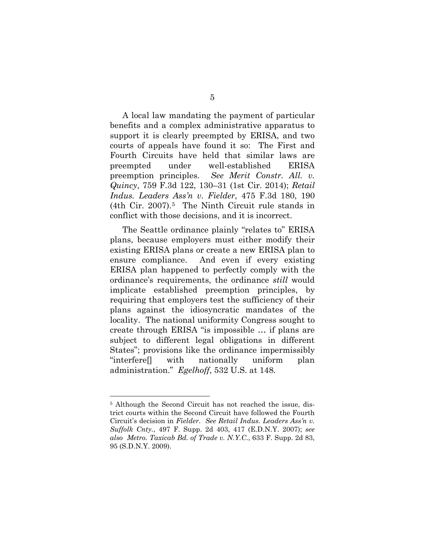A local law mandating the payment of particular benefits and a complex administrative apparatus to support it is clearly preempted by ERISA, and two courts of appeals have found it so: The First and Fourth Circuits have held that similar laws are preempted under well-established ERISA preemption principles. *See Merit Constr. All. v. Quincy*, 759 F.3d 122, 130–31 (1st Cir. 2014); *Retail Indus. Leaders Ass'n v. Fielder*, 475 F.3d 180, 190 (4th Cir. 2007).[5](#page-11-0) The Ninth Circuit rule stands in conflict with those decisions, and it is incorrect.

The Seattle ordinance plainly "relates to" ERISA plans, because employers must either modify their existing ERISA plans or create a new ERISA plan to ensure compliance. And even if every existing ERISA plan happened to perfectly comply with the ordinance's requirements, the ordinance *still* would implicate established preemption principles, by requiring that employers test the sufficiency of their plans against the idiosyncratic mandates of the locality. The national uniformity Congress sought to create through ERISA "is impossible … if plans are subject to different legal obligations in different States"; provisions like the ordinance impermissibly "interfere[] with nationally uniform plan administration." *Egelhoff*, 532 U.S. at 148*.* 

<span id="page-11-0"></span><sup>5</sup> Although the Second Circuit has not reached the issue, district courts within the Second Circuit have followed the Fourth Circuit's decision in *Fielder*. *See Retail Indus. Leaders Ass'n v. Suffolk Cnty.*, 497 F. Supp. 2d 403, 417 (E.D.N.Y. 2007); *see also Metro. Taxicab Bd. of Trade v. N.Y.C.*, 633 F. Supp. 2d 83, 95 (S.D.N.Y. 2009).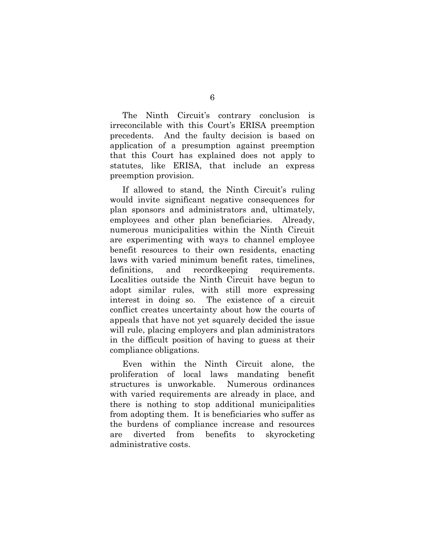The Ninth Circuit's contrary conclusion is irreconcilable with this Court's ERISA preemption precedents. And the faulty decision is based on application of a presumption against preemption that this Court has explained does not apply to statutes, like ERISA, that include an express preemption provision.

If allowed to stand, the Ninth Circuit's ruling would invite significant negative consequences for plan sponsors and administrators and, ultimately, employees and other plan beneficiaries. Already, numerous municipalities within the Ninth Circuit are experimenting with ways to channel employee benefit resources to their own residents, enacting laws with varied minimum benefit rates, timelines, definitions, and recordkeeping requirements. Localities outside the Ninth Circuit have begun to adopt similar rules, with still more expressing interest in doing so. The existence of a circuit conflict creates uncertainty about how the courts of appeals that have not yet squarely decided the issue will rule, placing employers and plan administrators in the difficult position of having to guess at their compliance obligations.

Even within the Ninth Circuit alone, the proliferation of local laws mandating benefit structures is unworkable. Numerous ordinances with varied requirements are already in place, and there is nothing to stop additional municipalities from adopting them. It is beneficiaries who suffer as the burdens of compliance increase and resources are diverted from benefits to skyrocketing administrative costs.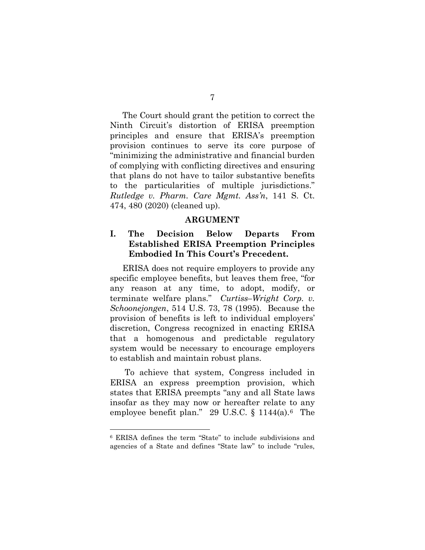The Court should grant the petition to correct the Ninth Circuit's distortion of ERISA preemption principles and ensure that ERISA's preemption provision continues to serve its core purpose of "minimizing the administrative and financial burden of complying with conflicting directives and ensuring that plans do not have to tailor substantive benefits to the particularities of multiple jurisdictions." *Rutledge v. Pharm. Care Mgmt. Ass'n*, 141 S. Ct. 474, 480 (2020) (cleaned up).

#### **ARGUMENT**

### <span id="page-13-1"></span><span id="page-13-0"></span>**I. The Decision Below Departs From Established ERISA Preemption Principles Embodied In This Court's Precedent.**

ERISA does not require employers to provide any specific employee benefits, but leaves them free, "for any reason at any time, to adopt, modify, or terminate welfare plans." *Curtiss–Wright Corp. v. Schoonejongen*, 514 U.S. 73, 78 (1995). Because the provision of benefits is left to individual employers' discretion, Congress recognized in enacting ERISA that a homogenous and predictable regulatory system would be necessary to encourage employers to establish and maintain robust plans.

To achieve that system, Congress included in ERISA an express preemption provision, which states that ERISA preempts "any and all State laws insofar as they may now or hereafter relate to any employee benefit plan." 29 U.S.C.  $\S$  1144(a).<sup>[6](#page-13-2)</sup> The

<span id="page-13-2"></span><sup>6</sup> ERISA defines the term "State" to include subdivisions and agencies of a State and defines "State law" to include "rules,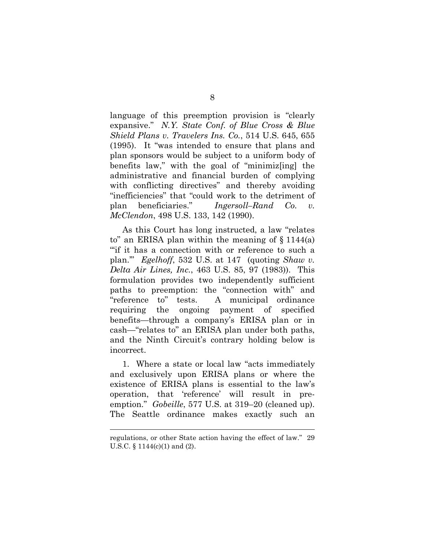language of this preemption provision is "clearly expansive." *N.Y. State Conf. of Blue Cross & Blue Shield Plans v. Travelers Ins. Co.*, 514 U.S. 645, 655 (1995). It "was intended to ensure that plans and plan sponsors would be subject to a uniform body of benefits law," with the goal of "minimiz[ing] the administrative and financial burden of complying with conflicting directives" and thereby avoiding "inefficiencies" that "could work to the detriment of plan beneficiaries." *Ingersoll–Rand Co. v. McClendon*, 498 U.S. 133, 142 (1990).

As this Court has long instructed, a law "relates to" an ERISA plan within the meaning of  $\S 1144(a)$ "'if it has a connection with or reference to such a plan.'" *Egelhoff*, 532 U.S. at 147 (quoting *Shaw v. Delta Air Lines, Inc.*, 463 U.S. 85, 97 (1983)). This formulation provides two independently sufficient paths to preemption: the "connection with" and "reference to" tests. A municipal ordinance requiring the ongoing payment of specified benefits—through a company's ERISA plan or in cash—"relates to" an ERISA plan under both paths, and the Ninth Circuit's contrary holding below is incorrect.

1. Where a state or local law "acts immediately and exclusively upon ERISA plans or where the existence of ERISA plans is essential to the law's operation, that 'reference' will result in preemption." *Gobeille*, 577 U.S. at 319–20 (cleaned up). The Seattle ordinance makes exactly such an

regulations, or other State action having the effect of law." 29 U.S.C. § 1144(c)(1) and (2).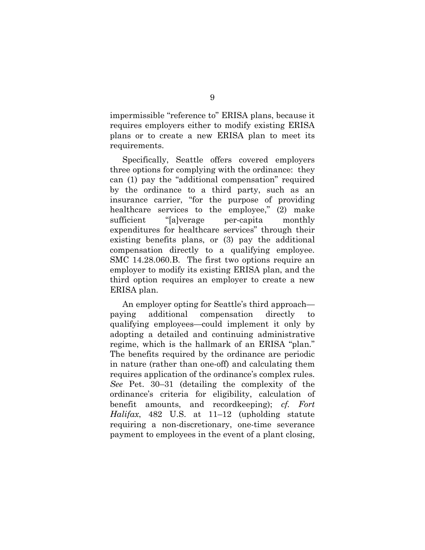impermissible "reference to" ERISA plans, because it requires employers either to modify existing ERISA plans or to create a new ERISA plan to meet its requirements.

Specifically, Seattle offers covered employers three options for complying with the ordinance: they can (1) pay the "additional compensation" required by the ordinance to a third party, such as an insurance carrier, "for the purpose of providing healthcare services to the employee," (2) make sufficient "[a]verage per-capita monthly expenditures for healthcare services" through their existing benefits plans, or (3) pay the additional compensation directly to a qualifying employee. SMC 14.28.060.B. The first two options require an employer to modify its existing ERISA plan, and the third option requires an employer to create a new ERISA plan.

An employer opting for Seattle's third approach paying additional compensation directly to qualifying employees—could implement it only by adopting a detailed and continuing administrative regime, which is the hallmark of an ERISA "plan." The benefits required by the ordinance are periodic in nature (rather than one-off) and calculating them requires application of the ordinance's complex rules. *See* Pet. 30–31 (detailing the complexity of the ordinance's criteria for eligibility, calculation of benefit amounts, and recordkeeping); *cf. Fort Halifax*, 482 U.S. at 11–12 (upholding statute requiring a non-discretionary, one-time severance payment to employees in the event of a plant closing,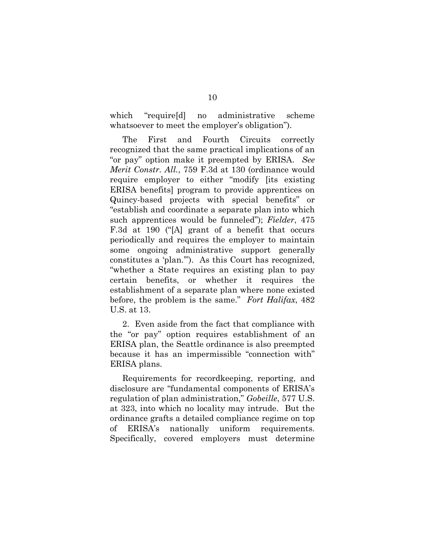which "require[d] no administrative scheme whatsoever to meet the employer's obligation").

The First and Fourth Circuits correctly recognized that the same practical implications of an "or pay" option make it preempted by ERISA. *See Merit Constr. All.*, 759 F.3d at 130 (ordinance would require employer to either "modify [its existing ERISA benefits] program to provide apprentices on Quincy-based projects with special benefits" or "establish and coordinate a separate plan into which such apprentices would be funneled"); *Fielder*, 475 F.3d at 190 ("[A] grant of a benefit that occurs periodically and requires the employer to maintain some ongoing administrative support generally constitutes a 'plan.'"). As this Court has recognized, "whether a State requires an existing plan to pay certain benefits, or whether it requires the establishment of a separate plan where none existed before, the problem is the same." *Fort Halifax*, 482 U.S. at 13.

2. Even aside from the fact that compliance with the "or pay" option requires establishment of an ERISA plan, the Seattle ordinance is also preempted because it has an impermissible "connection with" ERISA plans.

Requirements for recordkeeping, reporting, and disclosure are "fundamental components of ERISA's regulation of plan administration," *Gobeille*, 577 U.S. at 323, into which no locality may intrude. But the ordinance grafts a detailed compliance regime on top of ERISA's nationally uniform requirements. Specifically, covered employers must determine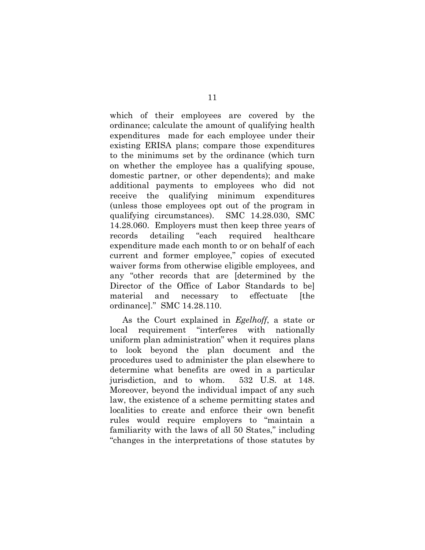which of their employees are covered by the ordinance; calculate the amount of qualifying health expenditures made for each employee under their existing ERISA plans; compare those expenditures to the minimums set by the ordinance (which turn on whether the employee has a qualifying spouse, domestic partner, or other dependents); and make additional payments to employees who did not receive the qualifying minimum expenditures (unless those employees opt out of the program in qualifying circumstances). SMC 14.28.030, SMC 14.28.060. Employers must then keep three years of records detailing "each required healthcare expenditure made each month to or on behalf of each current and former employee," copies of executed waiver forms from otherwise eligible employees, and any "other records that are [determined by the Director of the Office of Labor Standards to be] material and necessary to effectuate [the ordinance]." SMC 14.28.110.

As the Court explained in *Egelhoff*, a state or local requirement "interferes with nationally uniform plan administration" when it requires plans to look beyond the plan document and the procedures used to administer the plan elsewhere to determine what benefits are owed in a particular jurisdiction, and to whom. 532 U.S. at 148. Moreover, beyond the individual impact of any such law, the existence of a scheme permitting states and localities to create and enforce their own benefit rules would require employers to "maintain a familiarity with the laws of all 50 States," including "changes in the interpretations of those statutes by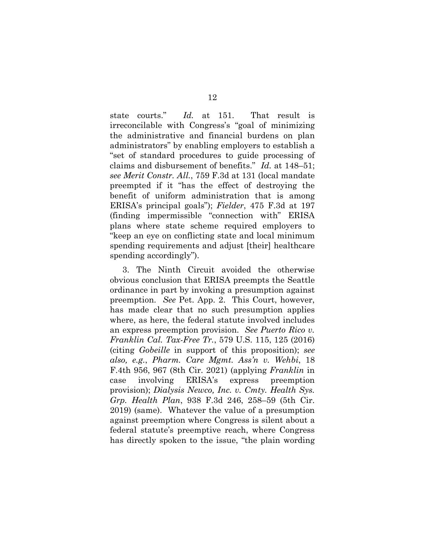state courts." *Id.* at 151. That result is irreconcilable with Congress's "goal of minimizing the administrative and financial burdens on plan administrators" by enabling employers to establish a "set of standard procedures to guide processing of claims and disbursement of benefits." *Id.* at 148–51; *see Merit Constr. All.*, 759 F.3d at 131 (local mandate preempted if it "has the effect of destroying the benefit of uniform administration that is among ERISA's principal goals"); *Fielder*, 475 F.3d at 197 (finding impermissible "connection with" ERISA plans where state scheme required employers to "keep an eye on conflicting state and local minimum spending requirements and adjust [their] healthcare spending accordingly").

3. The Ninth Circuit avoided the otherwise obvious conclusion that ERISA preempts the Seattle ordinance in part by invoking a presumption against preemption. *See* Pet. App. 2. This Court, however, has made clear that no such presumption applies where, as here, the federal statute involved includes an express preemption provision. *See Puerto Rico v. Franklin Cal. Tax-Free Tr.*, 579 U.S. 115, 125 (2016) (citing *Gobeille* in support of this proposition); *see also, e.g.*, *Pharm. Care Mgmt. Ass'n v. Wehbi*, 18 F.4th 956, 967 (8th Cir. 2021) (applying *Franklin* in case involving ERISA's express preemption provision); *Dialysis Newco, Inc. v. Cmty. Health Sys. Grp. Health Plan*, 938 F.3d 246, 258–59 (5th Cir. 2019) (same). Whatever the value of a presumption against preemption where Congress is silent about a federal statute's preemptive reach, where Congress has directly spoken to the issue, "the plain wording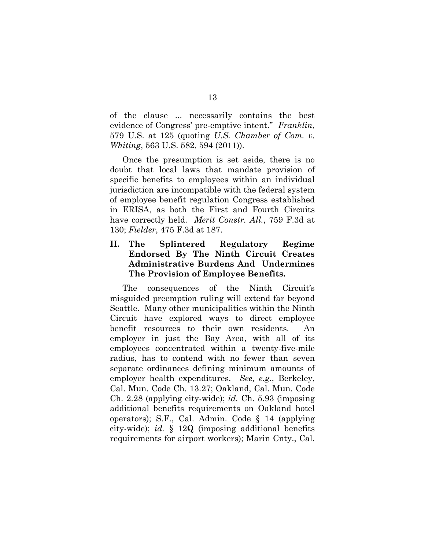of the clause ... necessarily contains the best evidence of Congress' pre-emptive intent." *Franklin*, 579 U.S. at 125 (quoting *U.S. Chamber of Com. v. Whiting*, 563 U.S. 582, 594 (2011)).

Once the presumption is set aside, there is no doubt that local laws that mandate provision of specific benefits to employees within an individual jurisdiction are incompatible with the federal system of employee benefit regulation Congress established in ERISA, as both the First and Fourth Circuits have correctly held. *Merit Constr. All.*, 759 F.3d at 130; *Fielder*, 475 F.3d at 187.

### <span id="page-19-0"></span>**II. The Splintered Regulatory Regime Endorsed By The Ninth Circuit Creates Administrative Burdens And Undermines The Provision of Employee Benefits.**

The consequences of the Ninth Circuit's misguided preemption ruling will extend far beyond Seattle. Many other municipalities within the Ninth Circuit have explored ways to direct employee benefit resources to their own residents. An employer in just the Bay Area, with all of its employees concentrated within a twenty-five-mile radius, has to contend with no fewer than seven separate ordinances defining minimum amounts of employer health expenditures. *See, e.g.*, Berkeley, Cal. Mun. Code Ch. 13.27; Oakland, Cal. Mun. Code Ch. 2.28 (applying city-wide); *id.* Ch. 5.93 (imposing additional benefits requirements on Oakland hotel operators); S.F., Cal. Admin. Code § 14 (applying city-wide); *id.* § 12Q (imposing additional benefits requirements for airport workers); Marin Cnty., Cal.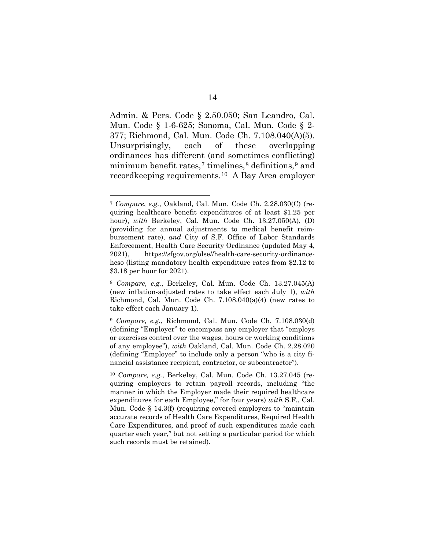Admin. & Pers. Code § 2.50.050; San Leandro, Cal. Mun. Code § 1-6-625; Sonoma, Cal. Mun. Code § 2- 377; Richmond, Cal. Mun. Code Ch. 7.108.040(A)(5). Unsurprisingly, each of these overlapping ordinances has different (and sometimes conflicting) minimum benefit rates,<sup>[7](#page-20-0)</sup> timelines, $\frac{8}{3}$  $\frac{8}{3}$  $\frac{8}{3}$  definitions, $\frac{9}{3}$  $\frac{9}{3}$  $\frac{9}{3}$  and recordkeeping requirements.[10](#page-20-3) A Bay Area employer

<span id="page-20-0"></span><sup>7</sup> *Compare*, *e.g.*, Oakland, Cal. Mun. Code Ch. 2.28.030(C) (requiring healthcare benefit expenditures of at least \$1.25 per hour), *with* Berkeley, Cal. Mun. Code Ch. 13.27.050(A), (D) (providing for annual adjustments to medical benefit reimbursement rate), *and* City of S.F. Office of Labor Standards Enforcement, Health Care Security Ordinance (updated May 4, 2021), https://sfgov.org/olse//health-care-security-ordinancehcso (listing mandatory health expenditure rates from \$2.12 to \$3.18 per hour for 2021).

<span id="page-20-1"></span><sup>8</sup> *Compare, e.g.*, Berkeley, Cal. Mun. Code Ch. 13.27.045(A) (new inflation-adjusted rates to take effect each July 1), *with*  Richmond, Cal. Mun. Code Ch. 7.108.040(a)(4) (new rates to take effect each January 1).

<span id="page-20-2"></span><sup>9</sup> *Compare, e.g.*, Richmond, Cal. Mun. Code Ch. 7.108.030(d) (defining "Employer" to encompass any employer that "employs or exercises control over the wages, hours or working conditions of any employee"), *with* Oakland, Cal. Mun. Code Ch. 2.28.020 (defining "Employer" to include only a person "who is a city financial assistance recipient, contractor, or subcontractor").

<span id="page-20-3"></span><sup>10</sup> *Compare, e.g.*, Berkeley, Cal. Mun. Code Ch. 13.27.045 (requiring employers to retain payroll records, including "the manner in which the Employer made their required healthcare expenditures for each Employee," for four years) *with* S.F., Cal. Mun. Code § 14.3(f) (requiring covered employers to "maintain accurate records of Health Care Expenditures, Required Health Care Expenditures, and proof of such expenditures made each quarter each year," but not setting a particular period for which such records must be retained).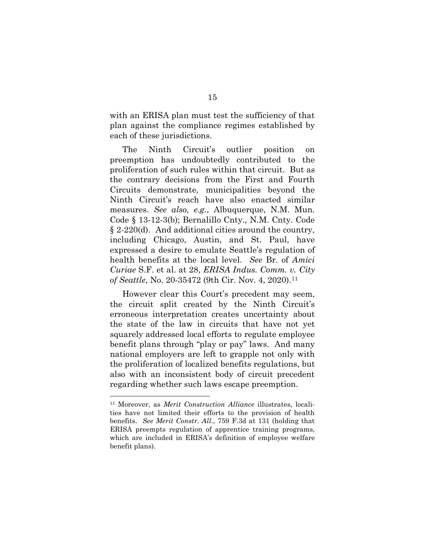with an ERISA plan must test the sufficiency of that plan against the compliance regimes established by each of these jurisdictions.

The Ninth Circuit's outlier position on preemption has undoubtedly contributed to the proliferation of such rules within that circuit. But as the contrary decisions from the First and Fourth Circuits demonstrate, municipalities beyond the Ninth Circuit's reach have also enacted similar measures. *See also, e.g.*, Albuquerque, N.M. Mun. Code § 13-12-3(b); Bernalillo Cnty., N.M. Cnty. Code § 2-220(d). And additional cities around the country, including Chicago, Austin, and St. Paul, have expressed a desire to emulate Seattle's regulation of health benefits at the local level. *See* Br. of *Amici Curiae* S.F. et al. at 28, *ERISA Indus. Comm. v. City of Seattle*, No. 20-35472 (9th Cir. Nov. 4, 2020).<sup>[11](#page-21-0)</sup>

However clear this Court's precedent may seem, the circuit split created by the Ninth Circuit's erroneous interpretation creates uncertainty about the state of the law in circuits that have not yet squarely addressed local efforts to regulate employee benefit plans through "play or pay" laws. And many national employers are left to grapple not only with the proliferation of localized benefits regulations, but also with an inconsistent body of circuit precedent regarding whether such laws escape preemption.

<span id="page-21-0"></span><sup>11</sup> Moreover, as *Merit Construction Alliance* illustrates, localities have not limited their efforts to the provision of health benefits. *See Merit Constr. All.*, 759 F.3d at 131 (holding that ERISA preempts regulation of apprentice training programs, which are included in ERISA's definition of employee welfare benefit plans).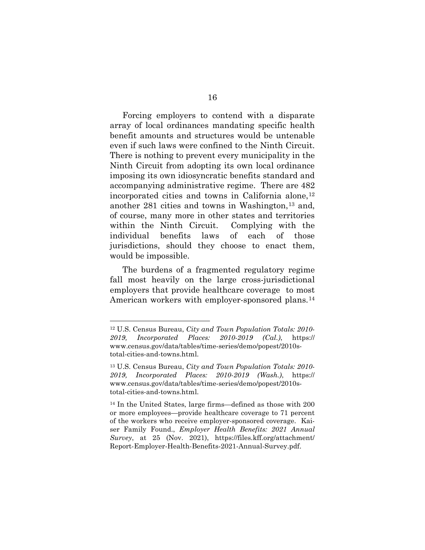Forcing employers to contend with a disparate array of local ordinances mandating specific health benefit amounts and structures would be untenable even if such laws were confined to the Ninth Circuit. There is nothing to prevent every municipality in the Ninth Circuit from adopting its own local ordinance imposing its own idiosyncratic benefits standard and accompanying administrative regime. There are 482 incorporated cities and towns in California alone,  $12$ another  $281$  cities and towns in Washington,<sup>[13](#page-22-1)</sup> and, of course, many more in other states and territories within the Ninth Circuit. Complying with the individual benefits laws of each of those jurisdictions, should they choose to enact them, would be impossible.

The burdens of a fragmented regulatory regime fall most heavily on the large cross-jurisdictional employers that provide healthcare coverage to most American workers with employer-sponsored plans.[14](#page-22-2)

<span id="page-22-0"></span><sup>12</sup> U.S. Census Bureau, *City and Town Population Totals: 2010- 2019, Incorporated Places: 2010-2019 (Cal.)*, https:// www.census.gov/data/tables/time-series/demo/popest/2010stotal-cities-and-towns.html.

<span id="page-22-1"></span><sup>13</sup> U.S. Census Bureau, *City and Town Population Totals: 2010- 2019, Incorporated Places: 2010-2019 (Wash.)*, https:// www.census.gov/data/tables/time-series/demo/popest/2010stotal-cities-and-towns.html.

<span id="page-22-2"></span><sup>14</sup> In the United States, large firms—defined as those with 200 or more employees—provide healthcare coverage to 71 percent of the workers who receive employer-sponsored coverage. Kaiser Family Found., *Employer Health Benefits: 2021 Annual Survey*, at 25 (Nov. 2021), https://files.kff.org/attachment/ Report-Employer-Health-Benefits-2021-Annual-Survey.pdf.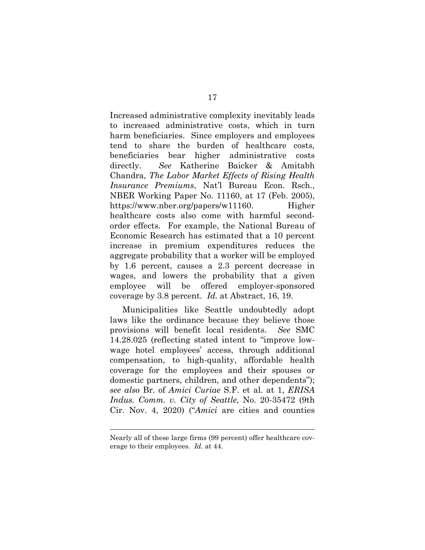Increased administrative complexity inevitably leads to increased administrative costs, which in turn harm beneficiaries. Since employers and employees tend to share the burden of healthcare costs, beneficiaries bear higher administrative costs directly. *See* Katherine Baicker & Amitabh Chandra, *The Labor Market Effects of Rising Health Insurance Premiums*, Nat'l Bureau Econ. Rsch., NBER Working Paper No. 11160, at 17 (Feb. 2005), https://www.nber.org/papers/w11160. Higher healthcare costs also come with harmful secondorder effects. For example, the National Bureau of Economic Research has estimated that a 10 percent increase in premium expenditures reduces the aggregate probability that a worker will be employed by 1.6 percent, causes a 2.3 percent decrease in wages, and lowers the probability that a given employee will be offered employer-sponsored coverage by 3.8 percent. *Id.* at Abstract, 16, 19.

Municipalities like Seattle undoubtedly adopt laws like the ordinance because they believe those provisions will benefit local residents. *See* SMC 14.28.025 (reflecting stated intent to "improve lowwage hotel employees' access, through additional compensation, to high-quality, affordable health coverage for the employees and their spouses or domestic partners, children, and other dependents"); *see also* Br. of *Amici Curiae* S.F. et al. at 1, *ERISA Indus. Comm. v. City of Seattle*, No. 20-35472 (9th Cir. Nov. 4, 2020) ("*Amici* are cities and counties

Nearly all of these large firms (99 percent) offer healthcare coverage to their employees. *Id.* at 44.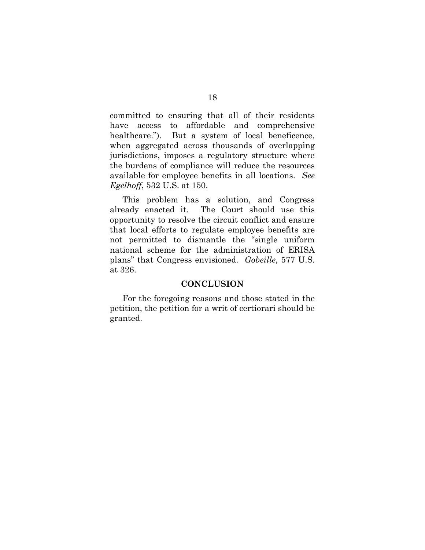committed to ensuring that all of their residents have access to affordable and comprehensive healthcare."). But a system of local beneficence, when aggregated across thousands of overlapping jurisdictions, imposes a regulatory structure where the burdens of compliance will reduce the resources available for employee benefits in all locations. *See Egelhoff*, 532 U.S. at 150.

This problem has a solution, and Congress already enacted it. The Court should use this opportunity to resolve the circuit conflict and ensure that local efforts to regulate employee benefits are not permitted to dismantle the "single uniform national scheme for the administration of ERISA plans" that Congress envisioned. *Gobeille*, 577 U.S. at 326.

#### **CONCLUSION**

<span id="page-24-0"></span>For the foregoing reasons and those stated in the petition, the petition for a writ of certiorari should be granted.